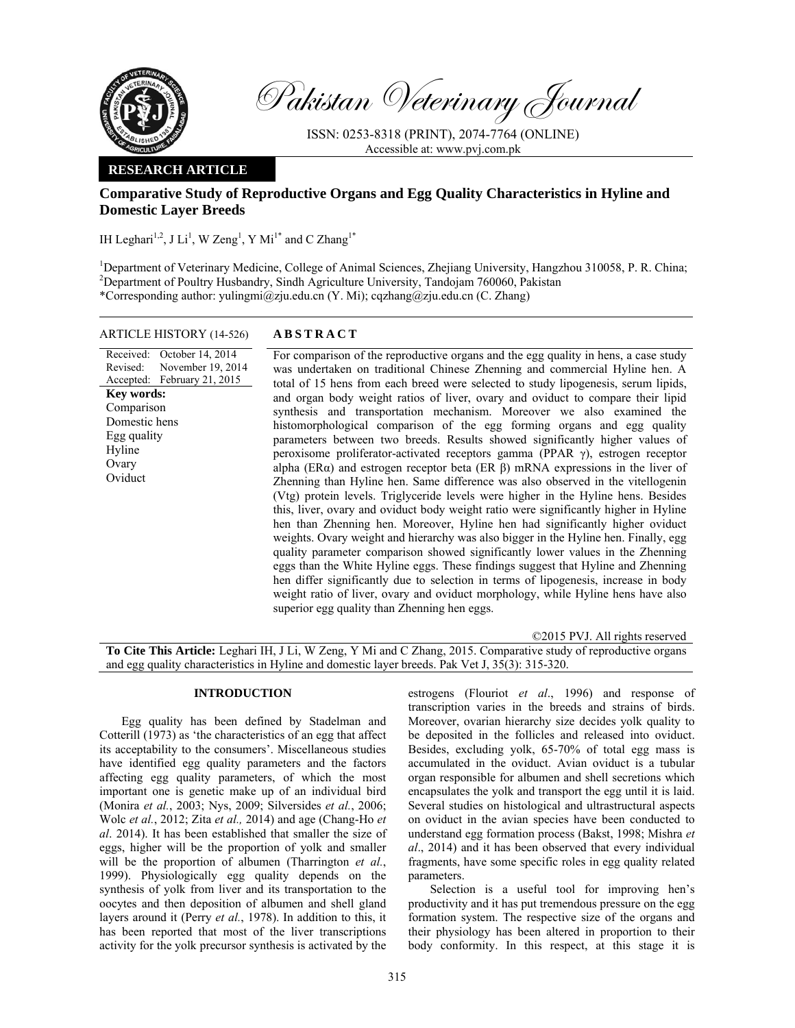

Pakistan Veterinary Journal

ISSN: 0253-8318 (PRINT), 2074-7764 (ONLINE) Accessible at: www.pvj.com.pk

## **RESEARCH ARTICLE**

# **Comparative Study of Reproductive Organs and Egg Quality Characteristics in Hyline and Domestic Layer Breeds**

IH Leghari<sup>1,2</sup>, J Li<sup>1</sup>, W Zeng<sup>1</sup>, Y Mi<sup>1\*</sup> and C Zhang<sup>1\*</sup>

<sup>1</sup>Department of Veterinary Medicine, College of Animal Sciences, Zhejiang University, Hangzhou 310058, P. R. China; <sup>2</sup>Department of Poultry Husbandry, Sindh Agriculture University, Tandojam 760060, Pakistan \*Corresponding author: yulingmi@zju.edu.cn (Y. Mi); cqzhang@zju.edu.cn (C. Zhang)

#### ARTICLE HISTORY (14-526) **ABSTRACT**

Received: Revised: Accepted: February 21, 2015 October 14, 2014 November 19, 2014 **Key words:**  Comparison Domestic hens Egg quality Hyline Ovary **Oviduct** 

 For comparison of the reproductive organs and the egg quality in hens, a case study was undertaken on traditional Chinese Zhenning and commercial Hyline hen. A total of 15 hens from each breed were selected to study lipogenesis, serum lipids, and organ body weight ratios of liver, ovary and oviduct to compare their lipid synthesis and transportation mechanism. Moreover we also examined the histomorphological comparison of the egg forming organs and egg quality parameters between two breeds. Results showed significantly higher values of peroxisome proliferator-activated receptors gamma (PPAR γ), estrogen receptor alpha (ERα) and estrogen receptor beta (ER β) mRNA expressions in the liver of Zhenning than Hyline hen. Same difference was also observed in the vitellogenin (Vtg) protein levels. Triglyceride levels were higher in the Hyline hens. Besides this, liver, ovary and oviduct body weight ratio were significantly higher in Hyline hen than Zhenning hen. Moreover, Hyline hen had significantly higher oviduct weights. Ovary weight and hierarchy was also bigger in the Hyline hen. Finally, egg quality parameter comparison showed significantly lower values in the Zhenning eggs than the White Hyline eggs. These findings suggest that Hyline and Zhenning hen differ significantly due to selection in terms of lipogenesis, increase in body weight ratio of liver, ovary and oviduct morphology, while Hyline hens have also superior egg quality than Zhenning hen eggs.

©2015 PVJ. All rights reserved **To Cite This Article:** Leghari IH, J Li, W Zeng, Y Mi and C Zhang, 2015. Comparative study of reproductive organs and egg quality characteristics in Hyline and domestic layer breeds. Pak Vet J, 35(3): 315-320.

## **INTRODUCTION**

Egg quality has been defined by Stadelman and Cotterill (1973) as 'the characteristics of an egg that affect its acceptability to the consumers'. Miscellaneous studies have identified egg quality parameters and the factors affecting egg quality parameters, of which the most important one is genetic make up of an individual bird (Monira *et al.*, 2003; Nys, 2009; Silversides *et al.*, 2006; Wolc *et al.*, 2012; Zita *et al.,* 2014) and age (Chang-Ho *et al*. 2014). It has been established that smaller the size of eggs, higher will be the proportion of yolk and smaller will be the proportion of albumen (Tharrington *et al.*, 1999). Physiologically egg quality depends on the synthesis of yolk from liver and its transportation to the oocytes and then deposition of albumen and shell gland layers around it (Perry *et al.*, 1978). In addition to this, it has been reported that most of the liver transcriptions activity for the yolk precursor synthesis is activated by the

estrogens (Flouriot *et al*., 1996) and response of transcription varies in the breeds and strains of birds. Moreover, ovarian hierarchy size decides yolk quality to be deposited in the follicles and released into oviduct. Besides, excluding yolk, 65-70% of total egg mass is accumulated in the oviduct. Avian oviduct is a tubular organ responsible for albumen and shell secretions which encapsulates the yolk and transport the egg until it is laid. Several studies on histological and ultrastructural aspects on oviduct in the avian species have been conducted to understand egg formation process (Bakst, 1998; Mishra *et al*., 2014) and it has been observed that every individual fragments, have some specific roles in egg quality related parameters.

Selection is a useful tool for improving hen's productivity and it has put tremendous pressure on the egg formation system. The respective size of the organs and their physiology has been altered in proportion to their body conformity. In this respect, at this stage it is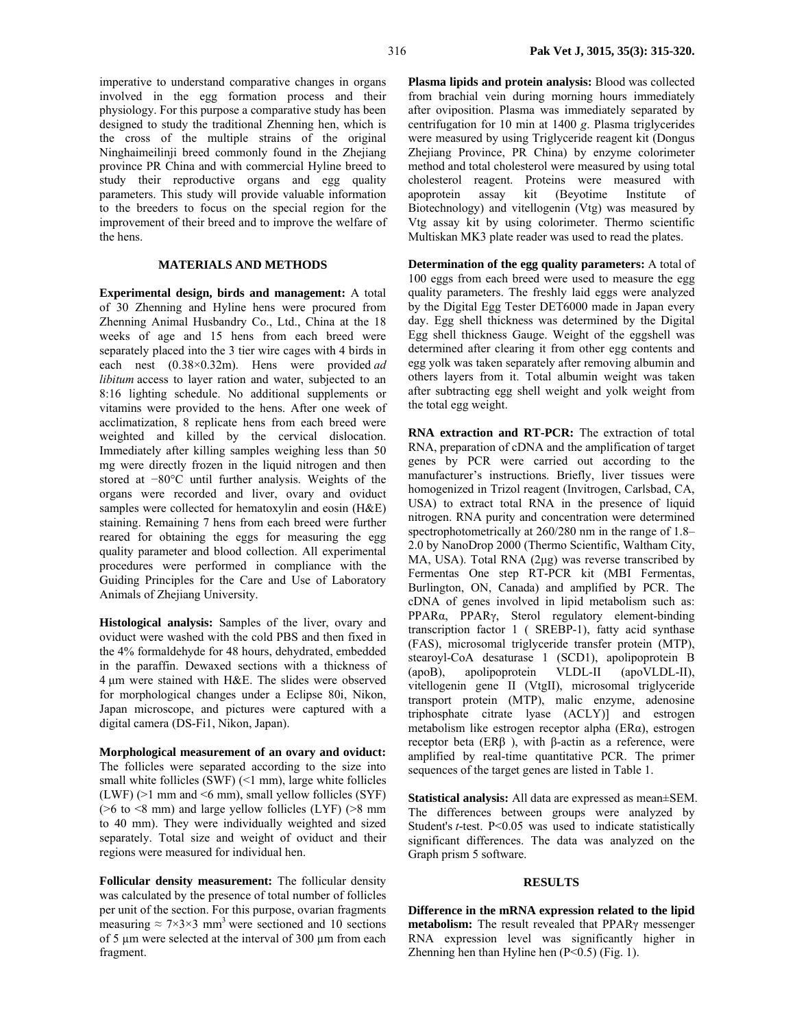imperative to understand comparative changes in organs involved in the egg formation process and their physiology. For this purpose a comparative study has been designed to study the traditional Zhenning hen, which is the cross of the multiple strains of the original Ninghaimeilinji breed commonly found in the Zhejiang province PR China and with commercial Hyline breed to study their reproductive organs and egg quality parameters. This study will provide valuable information to the breeders to focus on the special region for the improvement of their breed and to improve the welfare of the hens.

### **MATERIALS AND METHODS**

**Experimental design, birds and management:** A total of 30 Zhenning and Hyline hens were procured from Zhenning Animal Husbandry Co., Ltd., China at the 18 weeks of age and 15 hens from each breed were separately placed into the 3 tier wire cages with 4 birds in each nest (0.38×0.32m). Hens were provided *ad libitum* access to layer ration and water, subjected to an 8:16 lighting schedule. No additional supplements or vitamins were provided to the hens. After one week of acclimatization, 8 replicate hens from each breed were weighted and killed by the cervical dislocation. Immediately after killing samples weighing less than 50 mg were directly frozen in the liquid nitrogen and then stored at −80°C until further analysis. Weights of the organs were recorded and liver, ovary and oviduct samples were collected for hematoxylin and eosin (H&E) staining. Remaining 7 hens from each breed were further reared for obtaining the eggs for measuring the egg quality parameter and blood collection. All experimental procedures were performed in compliance with the Guiding Principles for the Care and Use of Laboratory Animals of Zhejiang University.

**Histological analysis:** Samples of the liver, ovary and oviduct were washed with the cold PBS and then fixed in the 4% formaldehyde for 48 hours, dehydrated, embedded in the paraffin. Dewaxed sections with a thickness of 4 µm were stained with H&E. The slides were observed for morphological changes under a Eclipse 80i, Nikon, Japan microscope, and pictures were captured with a digital camera (DS-Fi1, Nikon, Japan).

**Morphological measurement of an ovary and oviduct:**  The follicles were separated according to the size into small white follicles (SWF)  $($   $\leq$  1 mm), large white follicles  $(LWF)$  ( $>1$  mm and  $< 6$  mm), small vellow follicles (SYF) ( $>6$  to  $< 8$  mm) and large yellow follicles (LYF) ( $> 8$  mm) to 40 mm). They were individually weighted and sized separately. Total size and weight of oviduct and their regions were measured for individual hen.

**Follicular density measurement:** The follicular density was calculated by the presence of total number of follicles per unit of the section. For this purpose, ovarian fragments measuring  $\approx$  7×3×3 mm<sup>3</sup> were sectioned and 10 sections of 5 µm were selected at the interval of 300 µm from each fragment.

**Plasma lipids and protein analysis:** Blood was collected from brachial vein during morning hours immediately after oviposition. Plasma was immediately separated by centrifugation for 10 min at 1400 *g*. Plasma triglycerides were measured by using Triglyceride reagent kit (Dongus Zhejiang Province, PR China) by enzyme colorimeter method and total cholesterol were measured by using total cholesterol reagent. Proteins were measured with apoprotein assay kit (Beyotime Institute of Biotechnology) and vitellogenin (Vtg) was measured by Vtg assay kit by using colorimeter. Thermo scientific Multiskan MK3 plate reader was used to read the plates.

**Determination of the egg quality parameters:** A total of 100 eggs from each breed were used to measure the egg quality parameters. The freshly laid eggs were analyzed by the Digital Egg Tester DET6000 made in Japan every day. Egg shell thickness was determined by the Digital Egg shell thickness Gauge. Weight of the eggshell was determined after clearing it from other egg contents and egg yolk was taken separately after removing albumin and others layers from it. Total albumin weight was taken after subtracting egg shell weight and yolk weight from the total egg weight.

**RNA extraction and RT-PCR:** The extraction of total RNA, preparation of cDNA and the amplification of target genes by PCR were carried out according to the manufacturer's instructions. Briefly, liver tissues were homogenized in Trizol reagent (Invitrogen, Carlsbad, CA, USA) to extract total RNA in the presence of liquid nitrogen. RNA purity and concentration were determined spectrophotometrically at 260/280 nm in the range of 1.8– 2.0 by NanoDrop 2000 (Thermo Scientific, Waltham City, MA, USA). Total RNA (2µg) was reverse transcribed by Fermentas One step RT-PCR kit (MBI Fermentas, Burlington, ON, Canada) and amplified by PCR. The cDNA of genes involved in lipid metabolism such as: PPARα, PPARγ, Sterol regulatory element-binding transcription factor 1 ( SREBP-1), fatty acid synthase (FAS), microsomal triglyceride transfer protein (MTP), stearoyl-CoA desaturase 1 (SCD1), apolipoprotein B (apoB), apolipoprotein VLDL-II (apoVLDL-II), vitellogenin gene II (VtgII), microsomal triglyceride transport protein (MTP), malic enzyme, adenosine triphosphate citrate lyase (ACLY)] and estrogen metabolism like estrogen receptor alpha (ERα), estrogen receptor beta ( $ERβ$ ), with β-actin as a reference, were amplified by real-time quantitative PCR. The primer sequences of the target genes are listed in Table 1.

**Statistical analysis:** All data are expressed as mean±SEM. The differences between groups were analyzed by Student's *t*-test. P<0.05 was used to indicate statistically significant differences. The data was analyzed on the Graph prism 5 software.

#### **RESULTS**

**Difference in the mRNA expression related to the lipid metabolism:** The result revealed that PPARγ messenger RNA expression level was significantly higher in Zhenning hen than Hyline hen  $(P<0.5)$  (Fig. 1).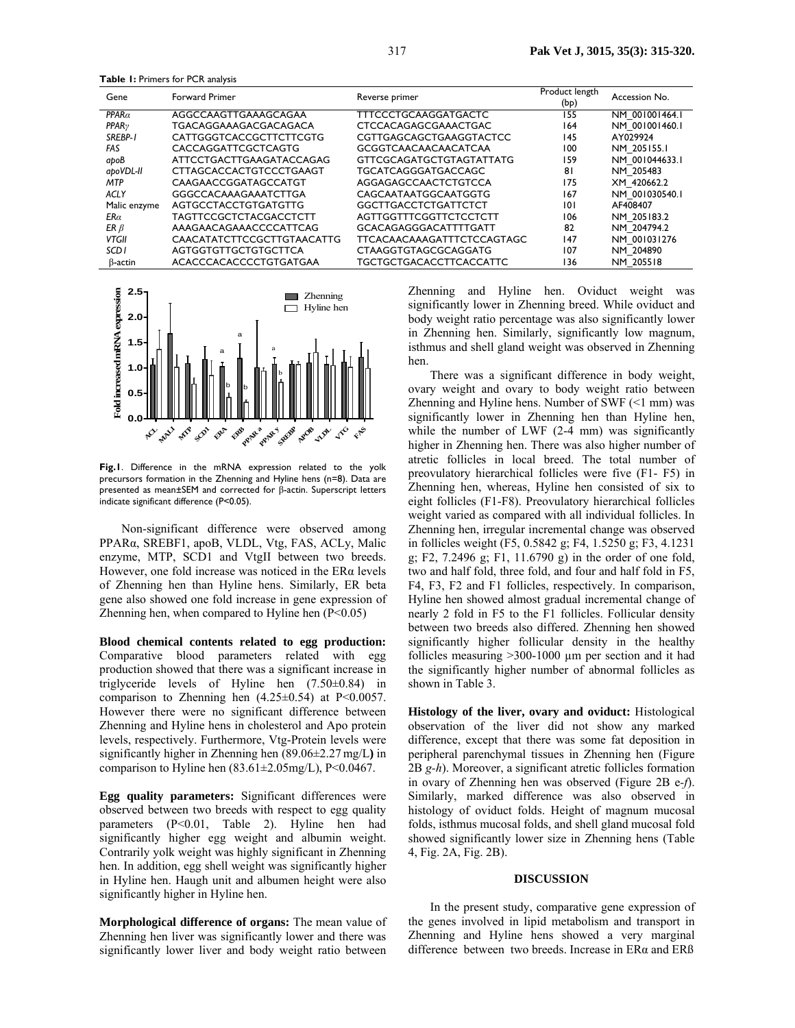**Table 1:** Primers for PCR analysis

| Gene              | <b>Forward Primer</b>         | Reverse primer                  | Product length<br>(bp) | Accession No.  |
|-------------------|-------------------------------|---------------------------------|------------------------|----------------|
| $PPAR\alpha$      | AGGCCAAGTTGAAAGCAGAA          | TTTCCCTGCAAGGATGACTC            | 155                    | NM 001001464.1 |
| PPAR <sub>V</sub> | TGACAGGAAAGACGACAGACA         | CTCCACAGAGCGAAACTGAC            | 164                    | NM 001001460.1 |
| SREBP-1           | CATTGGGTCACCGCTTCTTCGTG       | CGTTGAGCAGCTGAAGGTACTCC         | 145                    | AY029924       |
| FAS               | CACCAGGATTCGCTCAGTG           | GCGGTCAACAACAACATCAA            | 100                    | NM 205155.1    |
| apoB              | ATTCCTGACTTGAAGATACCAGAG      | <b>GTTCGCAGATGCTGTAGTATTATG</b> | 159                    | NM 001044633.1 |
| apoVDL-II         | CTTAGCACCACTGTCCCTGAAGT       | TGCATCAGGGATGACCAGC             | 81                     | NM 205483      |
| <b>MTP</b>        | CAAGAACCGGATAGCCATGT          | AGGAGAGCCAACTCTGTCCA            | 175                    | XM 420662.2    |
| ACLY              | GGGCCACAAAGAAATCTTGA          | CAGCAATAATGGCAATGGTG            | 167                    | NM 001030540.1 |
| Malic enzyme      | AGTGCCTACCTGTGATGTTG          | <b>GGCTTGACCTCTGATTCTCT</b>     | 101                    | AF408407       |
| $E$ R $\alpha$    | <b>TAGTTCCGCTCTACGACCTCTT</b> | AGTTGGTTTCGGTTCTCCTCTT          | 106                    | NM 205183.2    |
| ER $\beta$        | AAAGAACAGAAACCCCATTCAG        | <b>GCACAGAGGGACATTTTGATT</b>    | 82                     | NM 204794.2    |
| <b>VTGII</b>      | CAACATATCTTCCGCTTGTAACATTG    | TTCACAACAAAGATTTCTCCAGTAGC      | 147                    | NM 001031276   |
| SCD <sub>1</sub>  | AGTGGTGTTGCTGTGCTTCA          | CTAAGGTGTAGCGCAGGATG            | 107                    | NM 204890      |
| $\beta$ -actin    | ACACCCACACCCCTGTGATGAA        | TGCTGCTGACACCTTCACCATTC         | 136                    | NM 205518      |



**Fig.1**. Difference in the mRNA expression related to the yolk precursors formation in the Zhenning and Hyline hens (n=8). Data are presented as mean±SEM and corrected for β-actin. Superscript letters indicate significant difference (P<0.05).

 Non-significant difference were observed among PPARα, SREBF1, apoB, VLDL, Vtg, FAS, ACLy, Malic enzyme, MTP, SCD1 and VtgII between two breeds. However, one fold increase was noticed in the ERα levels of Zhenning hen than Hyline hens. Similarly, ER beta gene also showed one fold increase in gene expression of Zhenning hen, when compared to Hyline hen  $(P<0.05)$ 

**Blood chemical contents related to egg production:**  Comparative blood parameters related with egg production showed that there was a significant increase in triglyceride levels of Hyline hen (7.50±0.84) in comparison to Zhenning hen  $(4.25\pm0.54)$  at P<0.0057. However there were no significant difference between Zhenning and Hyline hens in cholesterol and Apo protein levels, respectively. Furthermore, Vtg-Protein levels were significantly higher in Zhenning hen (89.06±2.27 mg/L**)** in comparison to Hyline hen  $(83.61 \pm 2.05 \text{mg/L})$ , P<0.0467.

**Egg quality parameters:** Significant differences were observed between two breeds with respect to egg quality parameters (P<0.01, Table 2). Hyline hen had significantly higher egg weight and albumin weight. Contrarily yolk weight was highly significant in Zhenning hen. In addition, egg shell weight was significantly higher in Hyline hen. Haugh unit and albumen height were also significantly higher in Hyline hen.

**Morphological difference of organs:** The mean value of Zhenning hen liver was significantly lower and there was significantly lower liver and body weight ratio between

Zhenning and Hyline hen. Oviduct weight was significantly lower in Zhenning breed. While oviduct and body weight ratio percentage was also significantly lower in Zhenning hen. Similarly, significantly low magnum, isthmus and shell gland weight was observed in Zhenning hen.

There was a significant difference in body weight, ovary weight and ovary to body weight ratio between Zhenning and Hyline hens. Number of SWF (<1 mm) was significantly lower in Zhenning hen than Hyline hen, while the number of LWF (2-4 mm) was significantly higher in Zhenning hen. There was also higher number of atretic follicles in local breed. The total number of preovulatory hierarchical follicles were five (F1- F5) in Zhenning hen, whereas, Hyline hen consisted of six to eight follicles (F1-F8). Preovulatory hierarchical follicles weight varied as compared with all individual follicles. In Zhenning hen, irregular incremental change was observed in follicles weight (F5, 0.5842 g; F4, 1.5250 g; F3, 4.1231 g; F2, 7.2496 g; F1, 11.6790 g) in the order of one fold, two and half fold, three fold, and four and half fold in F5, F4, F3, F2 and F1 follicles, respectively. In comparison, Hyline hen showed almost gradual incremental change of nearly 2 fold in F5 to the F1 follicles. Follicular density between two breeds also differed. Zhenning hen showed significantly higher follicular density in the healthy follicles measuring >300-1000 µm per section and it had the significantly higher number of abnormal follicles as shown in Table 3.

**Histology of the liver, ovary and oviduct:** Histological observation of the liver did not show any marked difference, except that there was some fat deposition in peripheral parenchymal tissues in Zhenning hen (Figure 2B *g-h*). Moreover, a significant atretic follicles formation in ovary of Zhenning hen was observed (Figure 2B e*-f*). Similarly, marked difference was also observed in histology of oviduct folds. Height of magnum mucosal folds, isthmus mucosal folds, and shell gland mucosal fold showed significantly lower size in Zhenning hens (Table 4, Fig. 2A, Fig. 2B).

#### **DISCUSSION**

In the present study, comparative gene expression of the genes involved in lipid metabolism and transport in Zhenning and Hyline hens showed a very marginal difference between two breeds. Increase in ERα and ERß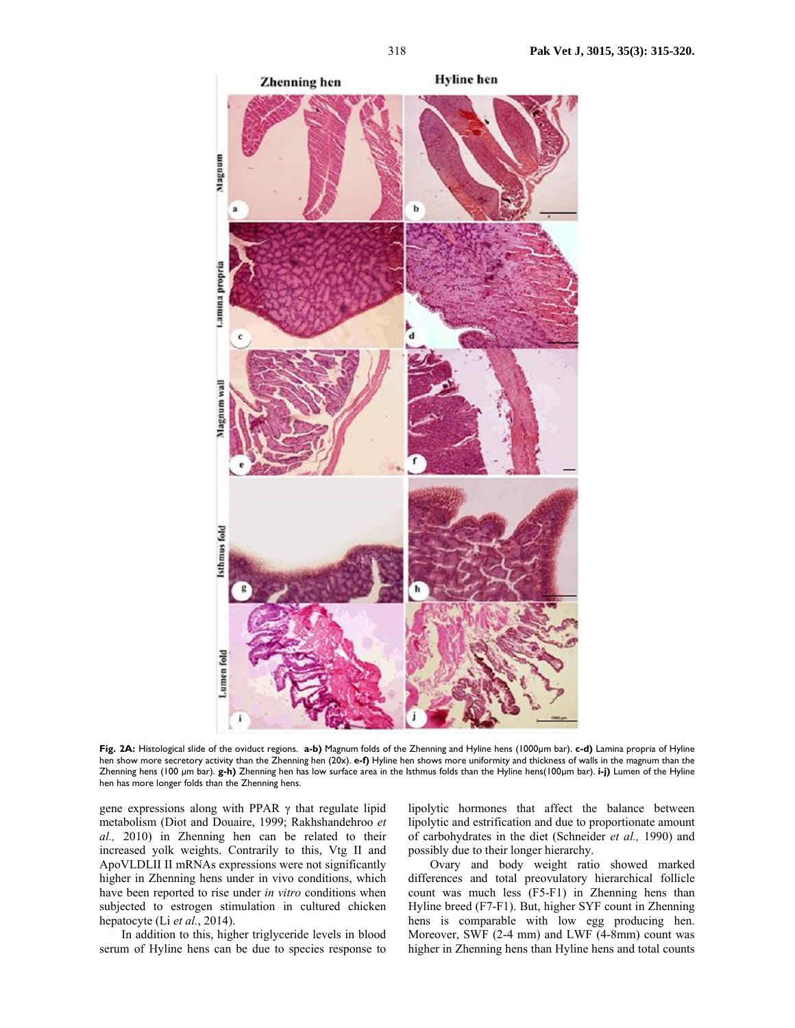

**Fig. 2A:** Histological slide of the oviduct regions. **a-b)** Magnum folds of the Zhenning and Hyline hens (1000µm bar). **c-d)** Lamina propria of Hyline hen show more secretory activity than the Zhenning hen (20x). **e-f)** Hyline hen shows more uniformity and thickness of walls in the magnum than the Zhenning hens (100 µm bar). **g-h)** Zhenning hen has low surface area in the Isthmus folds than the Hyline hens(100µm bar). **i-j)** Lumen of the Hyline hen has more longer folds than the Zhenning hens.

gene expressions along with PPAR  $\gamma$  that regulate lipid metabolism (Diot and Douaire, 1999; Rakhshandehroo *et al.,* 2010) in Zhenning hen can be related to their increased yolk weights. Contrarily to this, Vtg II and ApoVLDLII II mRNAs expressions were not significantly higher in Zhenning hens under in vivo conditions, which have been reported to rise under *in vitro* conditions when subjected to estrogen stimulation in cultured chicken hepatocyte (Li *et al.*, 2014).

In addition to this, higher triglyceride levels in blood serum of Hyline hens can be due to species response to

lipolytic hormones that affect the balance between lipolytic and estrification and due to proportionate amount of carbohydrates in the diet (Schneider *et al.,* 1990) and possibly due to their longer hierarchy.

Ovary and body weight ratio showed marked differences and total preovulatory hierarchical follicle count was much less (F5-F1) in Zhenning hens than Hyline breed (F7-F1). But, higher SYF count in Zhenning hens is comparable with low egg producing hen. Moreover, SWF (2-4 mm) and LWF (4-8mm) count was higher in Zhenning hens than Hyline hens and total counts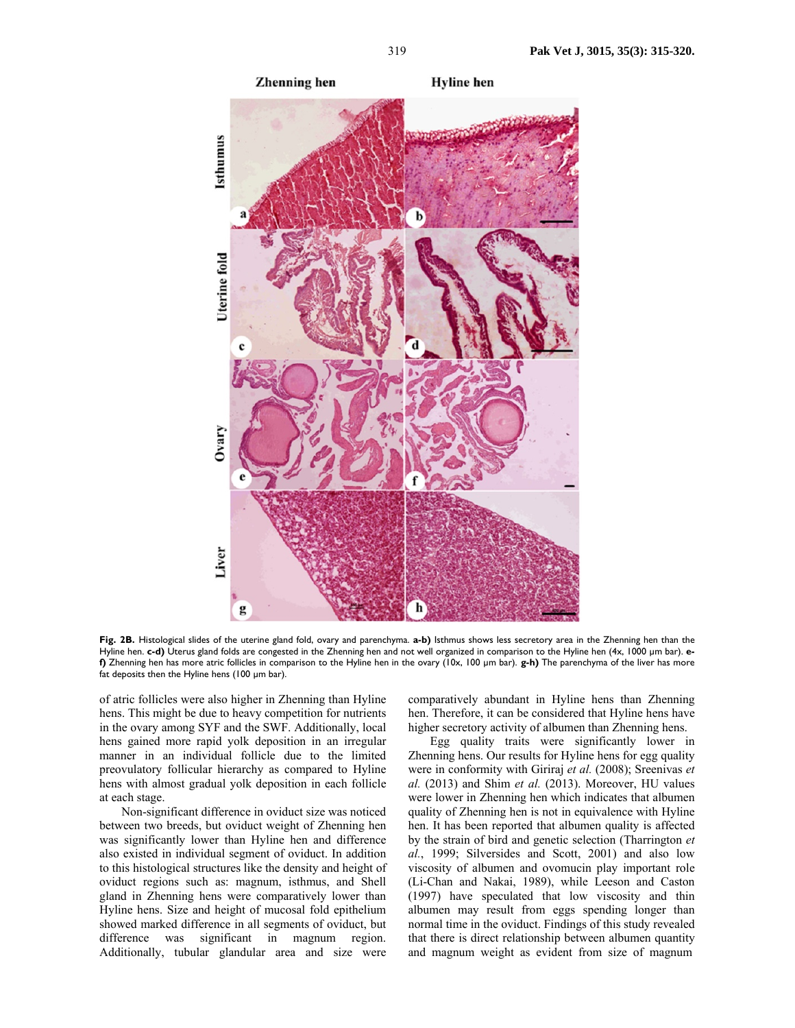

**Fig. 2B.** Histological slides of the uterine gland fold, ovary and parenchyma. **a-b)** Isthmus shows less secretory area in the Zhenning hen than the Hyline hen. **c-d)** Uterus gland folds are congested in the Zhenning hen and not well organized in comparison to the Hyline hen (4x, 1000 µm bar). **ef)** Zhenning hen has more atric follicles in comparison to the Hyline hen in the ovary (10x, 100 µm bar). **g-h)** The parenchyma of the liver has more fat deposits then the Hyline hens (100 µm bar).

of atric follicles were also higher in Zhenning than Hyline hens. This might be due to heavy competition for nutrients in the ovary among SYF and the SWF. Additionally, local hens gained more rapid yolk deposition in an irregular manner in an individual follicle due to the limited preovulatory follicular hierarchy as compared to Hyline hens with almost gradual yolk deposition in each follicle at each stage.

Non-significant difference in oviduct size was noticed between two breeds, but oviduct weight of Zhenning hen was significantly lower than Hyline hen and difference also existed in individual segment of oviduct. In addition to this histological structures like the density and height of oviduct regions such as: magnum, isthmus, and Shell gland in Zhenning hens were comparatively lower than Hyline hens. Size and height of mucosal fold epithelium showed marked difference in all segments of oviduct, but difference was significant in magnum region. Additionally, tubular glandular area and size were

comparatively abundant in Hyline hens than Zhenning hen. Therefore, it can be considered that Hyline hens have higher secretory activity of albumen than Zhenning hens.

Egg quality traits were significantly lower in Zhenning hens. Our results for Hyline hens for egg quality were in conformity with Giriraj *et al.* (2008); Sreenivas *et al.* (2013) and Shim *et al.* (2013). Moreover, HU values were lower in Zhenning hen which indicates that albumen quality of Zhenning hen is not in equivalence with Hyline hen. It has been reported that albumen quality is affected by the strain of bird and genetic selection (Tharrington *et al.*, 1999; Silversides and Scott, 2001) and also low viscosity of albumen and ovomucin play important role (Li-Chan and Nakai, 1989), while Leeson and Caston (1997) have speculated that low viscosity and thin albumen may result from eggs spending longer than normal time in the oviduct. Findings of this study revealed that there is direct relationship between albumen quantity and magnum weight as evident from size of magnum